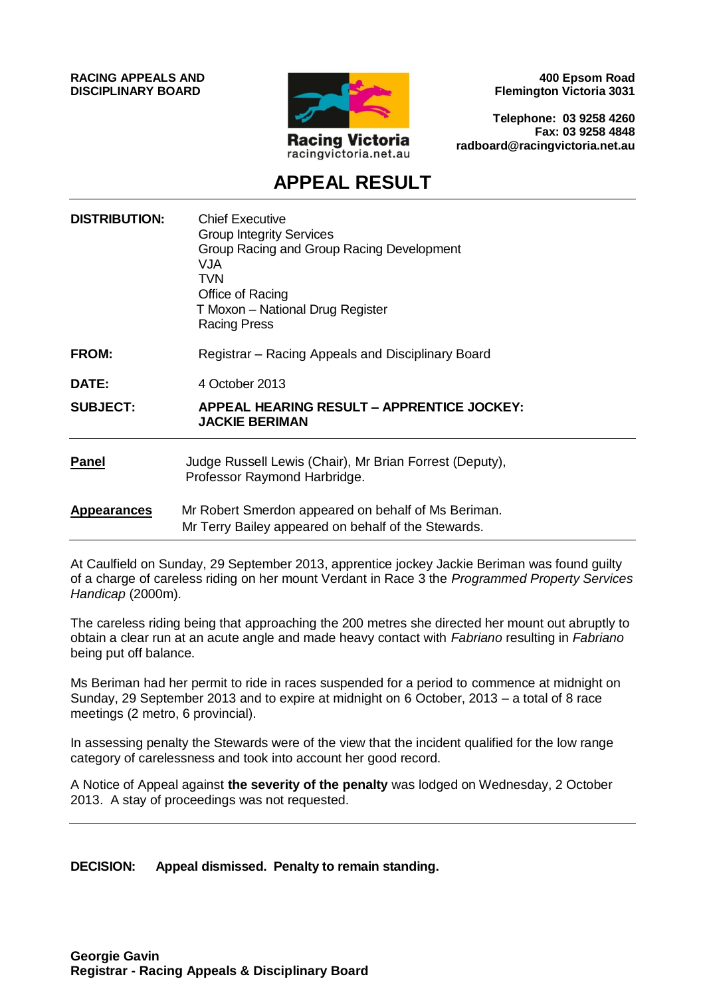**RACING APPEALS AND DISCIPLINARY BOARD**



**400 Epsom Road Flemington Victoria 3031**

**Telephone: 03 9258 4260 Fax: 03 9258 4848 radboard@racingvictoria.net.au**

# **APPEAL RESULT**

| <b>DISTRIBUTION:</b> | <b>Chief Executive</b><br><b>Group Integrity Services</b><br>Group Racing and Group Racing Development<br>VJA.<br><b>TVN</b><br>Office of Racing<br>T Moxon - National Drug Register<br><b>Racing Press</b> |
|----------------------|-------------------------------------------------------------------------------------------------------------------------------------------------------------------------------------------------------------|
| FROM:                | Registrar – Racing Appeals and Disciplinary Board                                                                                                                                                           |
| DATE:                | 4 October 2013                                                                                                                                                                                              |
| <b>SUBJECT:</b>      | <b>APPEAL HEARING RESULT - APPRENTICE JOCKEY:</b><br><b>JACKIE BERIMAN</b>                                                                                                                                  |
| <b>Panel</b>         | Judge Russell Lewis (Chair), Mr Brian Forrest (Deputy),<br>Professor Raymond Harbridge.                                                                                                                     |
| <b>Appearances</b>   | Mr Robert Smerdon appeared on behalf of Ms Beriman.<br>Mr Terry Bailey appeared on behalf of the Stewards.                                                                                                  |
|                      |                                                                                                                                                                                                             |

At Caulfield on Sunday, 29 September 2013, apprentice jockey Jackie Beriman was found guilty of a charge of careless riding on her mount Verdant in Race 3 the *Programmed Property Services Handicap* (2000m).

The careless riding being that approaching the 200 metres she directed her mount out abruptly to obtain a clear run at an acute angle and made heavy contact with *Fabriano* resulting in *Fabriano* being put off balance.

Ms Beriman had her permit to ride in races suspended for a period to commence at midnight on Sunday, 29 September 2013 and to expire at midnight on 6 October, 2013 – a total of 8 race meetings (2 metro, 6 provincial).

In assessing penalty the Stewards were of the view that the incident qualified for the low range category of carelessness and took into account her good record.

A Notice of Appeal against **the severity of the penalty** was lodged on Wednesday, 2 October 2013. A stay of proceedings was not requested.

#### **DECISION: Appeal dismissed. Penalty to remain standing.**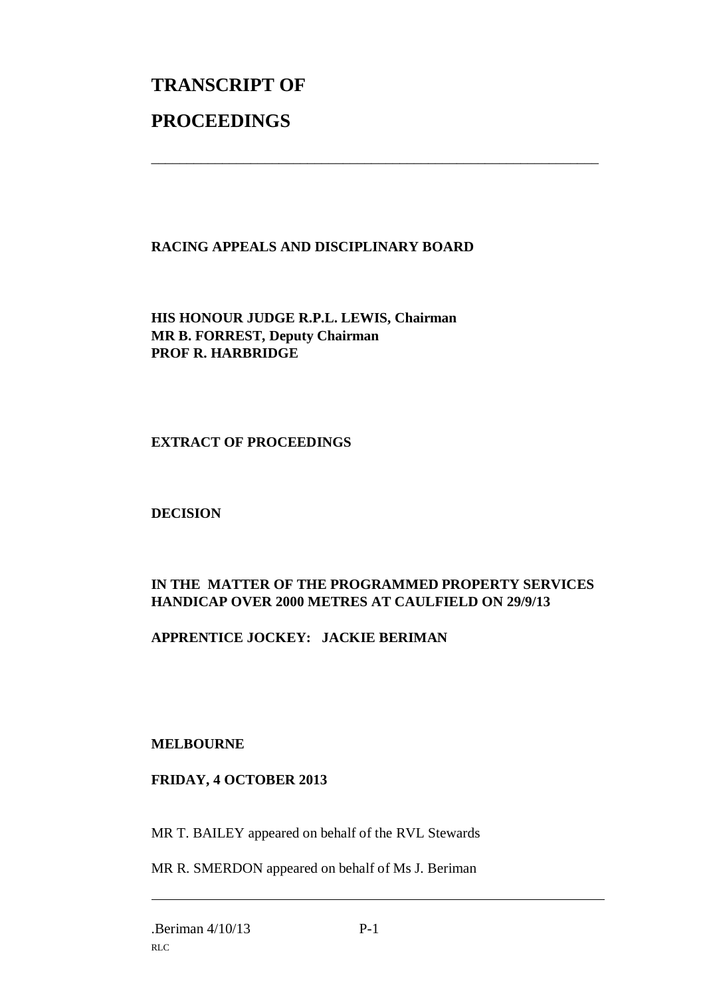# **TRANSCRIPT OF PROCEEDINGS**

### **RACING APPEALS AND DISCIPLINARY BOARD**

\_\_\_\_\_\_\_\_\_\_\_\_\_\_\_\_\_\_\_\_\_\_\_\_\_\_\_\_\_\_\_\_\_\_\_\_\_\_\_\_\_\_\_\_\_\_\_\_\_\_\_\_\_\_\_\_\_\_\_\_\_\_\_

**HIS HONOUR JUDGE R.P.L. LEWIS, Chairman MR B. FORREST, Deputy Chairman PROF R. HARBRIDGE**

#### **EXTRACT OF PROCEEDINGS**

#### **DECISION**

## **IN THE MATTER OF THE PROGRAMMED PROPERTY SERVICES HANDICAP OVER 2000 METRES AT CAULFIELD ON 29/9/13**

#### **APPRENTICE JOCKEY: JACKIE BERIMAN**

#### **MELBOURNE**

#### **FRIDAY, 4 OCTOBER 2013**

MR T. BAILEY appeared on behalf of the RVL Stewards

MR R. SMERDON appeared on behalf of Ms J. Beriman